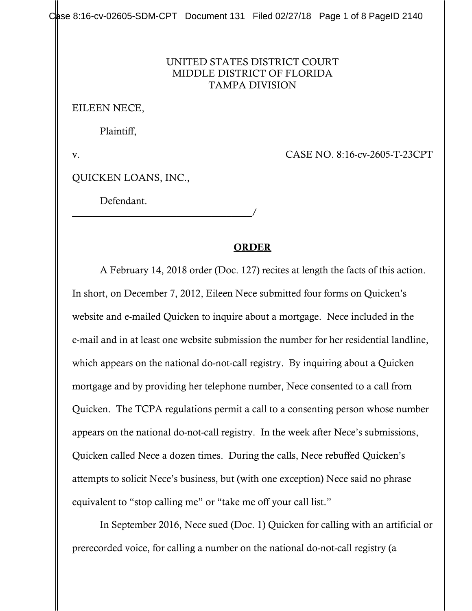$C$ ase 8:16-cv-02605-SDM-CPT Document 131 Filed 02/27/18 Page 1 of 8 PageID 2140

## UNITED STATES DISTRICT COURT MIDDLE DISTRICT OF FLORIDA TAMPA DIVISION

EILEEN NECE,

Plaintiff,

v. CASE NO. 8:16-cv-2605-T-23CPT

QUICKEN LOANS, INC.,

\_\_\_\_\_\_\_\_\_\_\_\_\_\_\_\_\_\_\_\_\_\_\_\_\_\_\_\_\_\_\_\_\_\_\_\_/

Defendant.

## ORDER

A February 14, 2018 order (Doc. 127) recites at length the facts of this action. In short, on December 7, 2012, Eileen Nece submitted four forms on Quicken's website and e-mailed Quicken to inquire about a mortgage. Nece included in the e-mail and in at least one website submission the number for her residential landline, which appears on the national do-not-call registry. By inquiring about a Quicken mortgage and by providing her telephone number, Nece consented to a call from Quicken. The TCPA regulations permit a call to a consenting person whose number appears on the national do-not-call registry. In the week after Nece's submissions, Quicken called Nece a dozen times. During the calls, Nece rebuffed Quicken's attempts to solicit Nece's business, but (with one exception) Nece said no phrase equivalent to "stop calling me" or "take me off your call list."

In September 2016, Nece sued (Doc. 1) Quicken for calling with an artificial or prerecorded voice, for calling a number on the national do-not-call registry (a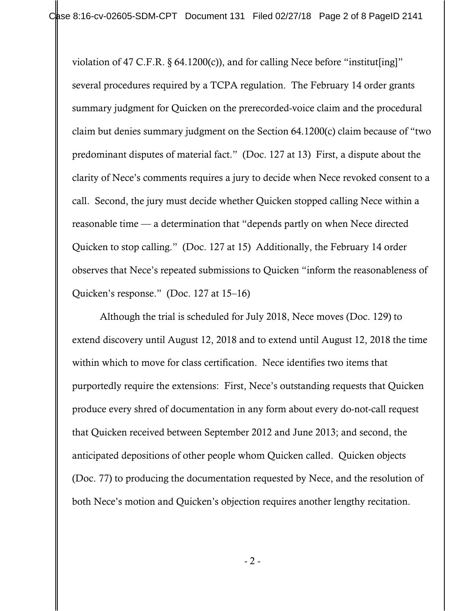violation of 47 C.F.R.  $\S$  64.1200(c)), and for calling Nece before "institut [ing]" several procedures required by a TCPA regulation. The February 14 order grants summary judgment for Quicken on the prerecorded-voice claim and the procedural claim but denies summary judgment on the Section 64.1200(c) claim because of "two predominant disputes of material fact." (Doc. 127 at 13) First, a dispute about the clarity of Nece's comments requires a jury to decide when Nece revoked consent to a call. Second, the jury must decide whether Quicken stopped calling Nece within a reasonable time — a determination that "depends partly on when Nece directed Quicken to stop calling." (Doc. 127 at 15) Additionally, the February 14 order observes that Nece's repeated submissions to Quicken "inform the reasonableness of Quicken's response." (Doc. 127 at 15–16)

Although the trial is scheduled for July 2018, Nece moves (Doc. 129) to extend discovery until August 12, 2018 and to extend until August 12, 2018 the time within which to move for class certification. Nece identifies two items that purportedly require the extensions: First, Nece's outstanding requests that Quicken produce every shred of documentation in any form about every do-not-call request that Quicken received between September 2012 and June 2013; and second, the anticipated depositions of other people whom Quicken called. Quicken objects (Doc. 77) to producing the documentation requested by Nece, and the resolution of both Nece's motion and Quicken's objection requires another lengthy recitation.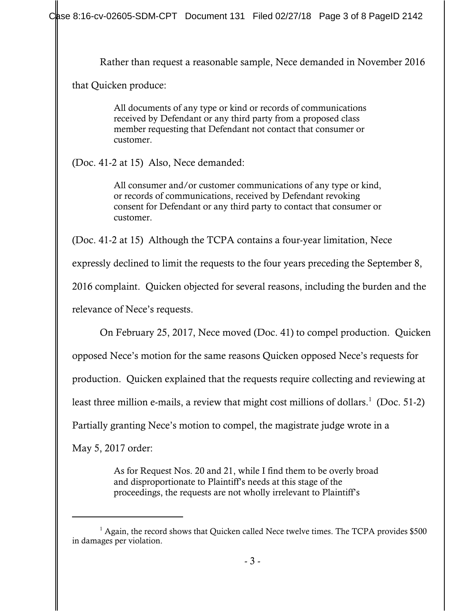Rather than request a reasonable sample, Nece demanded in November 2016

that Quicken produce:

All documents of any type or kind or records of communications received by Defendant or any third party from a proposed class member requesting that Defendant not contact that consumer or customer.

(Doc. 41-2 at 15) Also, Nece demanded:

All consumer and/or customer communications of any type or kind, or records of communications, received by Defendant revoking consent for Defendant or any third party to contact that consumer or customer.

(Doc. 41-2 at 15) Although the TCPA contains a four-year limitation, Nece

expressly declined to limit the requests to the four years preceding the September 8,

2016 complaint. Quicken objected for several reasons, including the burden and the

relevance of Nece's requests.

On February 25, 2017, Nece moved (Doc. 41) to compel production. Quicken opposed Nece's motion for the same reasons Quicken opposed Nece's requests for

production. Quicken explained that the requests require collecting and reviewing at

least three million e-mails, a review that might cost millions of dollars.<sup>1</sup> (Doc. 51-2)

Partially granting Nece's motion to compel, the magistrate judge wrote in a

May 5, 2017 order:

As for Request Nos. 20 and 21, while I find them to be overly broad and disproportionate to Plaintiff's needs at this stage of the proceedings, the requests are not wholly irrelevant to Plaintiff's

<sup>&</sup>lt;sup>1</sup> Again, the record shows that Quicken called Nece twelve times. The TCPA provides \$500 in damages per violation.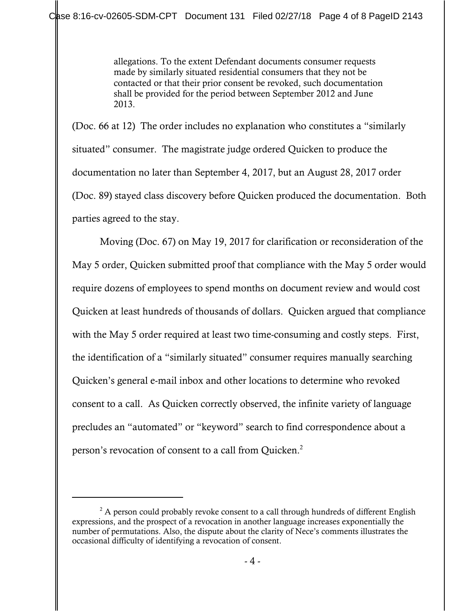allegations. To the extent Defendant documents consumer requests made by similarly situated residential consumers that they not be contacted or that their prior consent be revoked, such documentation shall be provided for the period between September 2012 and June 2013.

(Doc. 66 at 12) The order includes no explanation who constitutes a "similarly situated" consumer. The magistrate judge ordered Quicken to produce the documentation no later than September 4, 2017, but an August 28, 2017 order (Doc. 89) stayed class discovery before Quicken produced the documentation. Both parties agreed to the stay.

Moving (Doc. 67) on May 19, 2017 for clarification or reconsideration of the May 5 order, Quicken submitted proof that compliance with the May 5 order would require dozens of employees to spend months on document review and would cost Quicken at least hundreds of thousands of dollars. Quicken argued that compliance with the May 5 order required at least two time-consuming and costly steps. First, the identification of a "similarly situated" consumer requires manually searching Quicken's general e-mail inbox and other locations to determine who revoked consent to a call. As Quicken correctly observed, the infinite variety of language precludes an "automated" or "keyword" search to find correspondence about a person's revocation of consent to a call from Quicken.<sup>2</sup>

 $2^2$  A person could probably revoke consent to a call through hundreds of different English expressions, and the prospect of a revocation in another language increases exponentially the number of permutations. Also, the dispute about the clarity of Nece's comments illustrates the occasional difficulty of identifying a revocation of consent.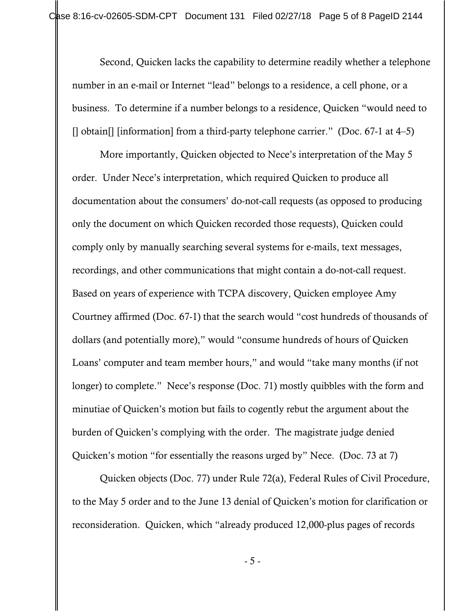Second, Quicken lacks the capability to determine readily whether a telephone number in an e-mail or Internet "lead" belongs to a residence, a cell phone, or a business. To determine if a number belongs to a residence, Quicken "would need to [] obtain[] [information] from a third-party telephone carrier." (Doc. 67-1 at 4–5)

More importantly, Quicken objected to Nece's interpretation of the May 5 order. Under Nece's interpretation, which required Quicken to produce all documentation about the consumers' do-not-call requests (as opposed to producing only the document on which Quicken recorded those requests), Quicken could comply only by manually searching several systems for e-mails, text messages, recordings, and other communications that might contain a do-not-call request. Based on years of experience with TCPA discovery, Quicken employee Amy Courtney affirmed (Doc. 67-1) that the search would "cost hundreds of thousands of dollars (and potentially more)," would "consume hundreds of hours of Quicken Loans' computer and team member hours," and would "take many months (if not longer) to complete." Nece's response (Doc. 71) mostly quibbles with the form and minutiae of Quicken's motion but fails to cogently rebut the argument about the burden of Quicken's complying with the order. The magistrate judge denied Quicken's motion "for essentially the reasons urged by" Nece. (Doc. 73 at 7)

Quicken objects (Doc. 77) under Rule 72(a), Federal Rules of Civil Procedure, to the May 5 order and to the June 13 denial of Quicken's motion for clarification or reconsideration. Quicken, which "already produced 12,000-plus pages of records

- 5 -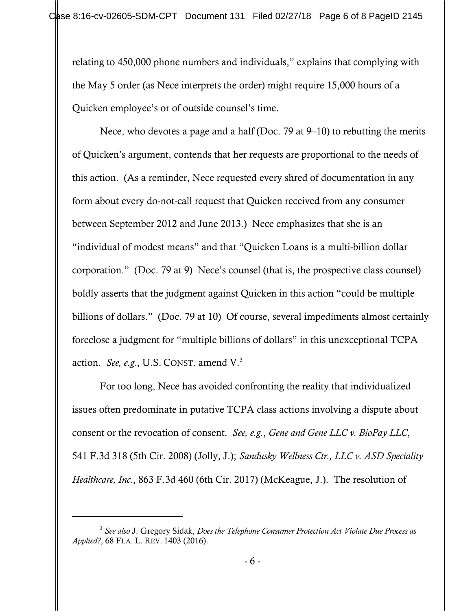relating to 450,000 phone numbers and individuals," explains that complying with the May 5 order (as Nece interprets the order) might require 15,000 hours of a Quicken employee's or of outside counsel's time.

Nece, who devotes a page and a half (Doc. 79 at 9–10) to rebutting the merits of Quicken's argument, contends that her requests are proportional to the needs of this action. (As a reminder, Nece requested every shred of documentation in any form about every do-not-call request that Quicken received from any consumer between September 2012 and June 2013.) Nece emphasizes that she is an "individual of modest means" and that "Quicken Loans is a multi-billion dollar corporation." (Doc. 79 at 9) Nece's counsel (that is, the prospective class counsel) boldly asserts that the judgment against Quicken in this action "could be multiple billions of dollars." (Doc. 79 at 10) Of course, several impediments almost certainly foreclose a judgment for "multiple billions of dollars" in this unexceptional TCPA action. *See, e.g.*, U.S. CONST. amend V.3

For too long, Nece has avoided confronting the reality that individualized issues often predominate in putative TCPA class actions involving a dispute about consent or the revocation of consent. *See, e.g.*, *Gene and Gene LLC v. BioPay LLC*, 541 F.3d 318 (5th Cir. 2008) (Jolly, J.); *Sandusky Wellness Ctr., LLC v. ASD Speciality Healthcare, Inc.*, 863 F.3d 460 (6th Cir. 2017) (McKeague, J.). The resolution of

<sup>3</sup> *See also* J. Gregory Sidak, *Does the Telephone Consumer Protection Act Violate Due Process as Applied?*, 68 FLA. L. REV. 1403 (2016).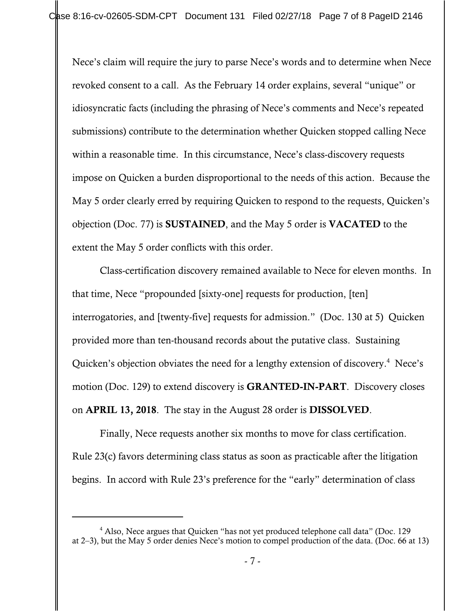Nece's claim will require the jury to parse Nece's words and to determine when Nece revoked consent to a call. As the February 14 order explains, several "unique" or idiosyncratic facts (including the phrasing of Nece's comments and Nece's repeated submissions) contribute to the determination whether Quicken stopped calling Nece within a reasonable time. In this circumstance, Nece's class-discovery requests impose on Quicken a burden disproportional to the needs of this action. Because the May 5 order clearly erred by requiring Quicken to respond to the requests, Quicken's objection (Doc. 77) is SUSTAINED, and the May 5 order is VACATED to the extent the May 5 order conflicts with this order.

Class-certification discovery remained available to Nece for eleven months. In that time, Nece "propounded [sixty-one] requests for production, [ten] interrogatories, and [twenty-five] requests for admission." (Doc. 130 at 5) Quicken provided more than ten-thousand records about the putative class. Sustaining Quicken's objection obviates the need for a lengthy extension of discovery.<sup>4</sup> Nece's motion (Doc. 129) to extend discovery is **GRANTED-IN-PART**. Discovery closes on APRIL 13, 2018. The stay in the August 28 order is DISSOLVED.

Finally, Nece requests another six months to move for class certification. Rule 23(c) favors determining class status as soon as practicable after the litigation begins. In accord with Rule 23's preference for the "early" determination of class

 $4$  Also, Nece argues that Quicken "has not yet produced telephone call data" (Doc. 129) at 2–3), but the May 5 order denies Nece's motion to compel production of the data. (Doc. 66 at 13)